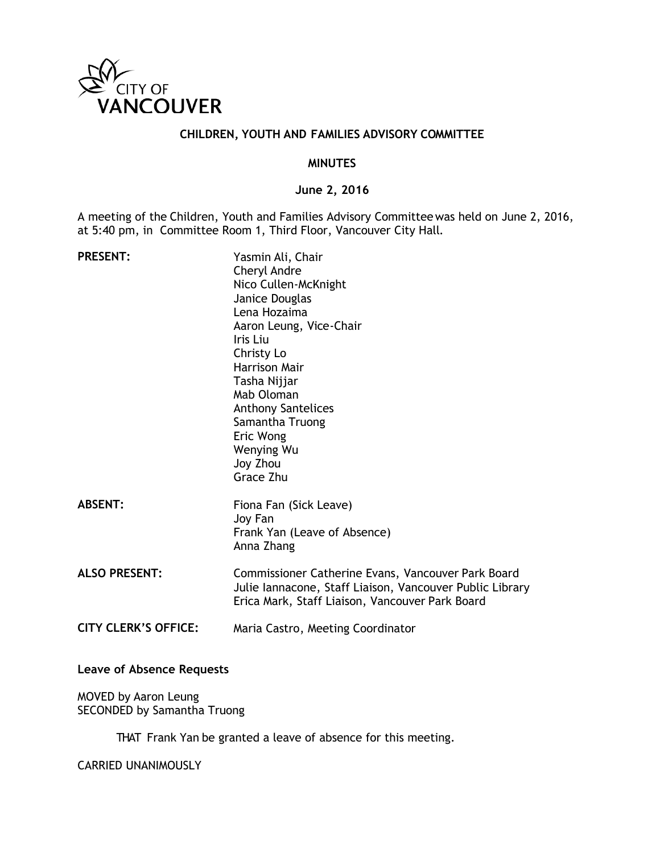

#### **CHILDREN, YOUTH AND FAMILIES ADVISORY COMMITTEE**

#### **MINUTES**

#### **June 2, 2016**

A meeting of the Children, Youth and Families Advisory Committeewas held on June 2, 2016, at 5:40 pm, in Committee Room 1, Third Floor, Vancouver City Hall.

| <b>PRESENT:</b>             | Yasmin Ali, Chair<br>Cheryl Andre<br>Nico Cullen-McKnight<br>Janice Douglas<br>Lena Hozaima<br>Aaron Leung, Vice-Chair<br>Iris Liu<br>Christy Lo<br><b>Harrison Mair</b><br>Tasha Nijjar<br>Mab Oloman<br><b>Anthony Santelices</b><br>Samantha Truong<br>Eric Wong<br>Wenying Wu<br>Joy Zhou<br>Grace Zhu |
|-----------------------------|------------------------------------------------------------------------------------------------------------------------------------------------------------------------------------------------------------------------------------------------------------------------------------------------------------|
| <b>ABSENT:</b>              | Fiona Fan (Sick Leave)<br>Joy Fan<br>Frank Yan (Leave of Absence)<br>Anna Zhang                                                                                                                                                                                                                            |
| <b>ALSO PRESENT:</b>        | Commissioner Catherine Evans, Vancouver Park Board<br>Julie Iannacone, Staff Liaison, Vancouver Public Library<br>Erica Mark, Staff Liaison, Vancouver Park Board                                                                                                                                          |
| <b>CITY CLERK'S OFFICE:</b> | Maria Castro, Meeting Coordinator                                                                                                                                                                                                                                                                          |

**Leave of Absence Requests**

MOVED by Aaron Leung SECONDED by Samantha Truong

THAT Frank Yan be granted a leave of absence for this meeting.

CARRIED UNANIMOUSLY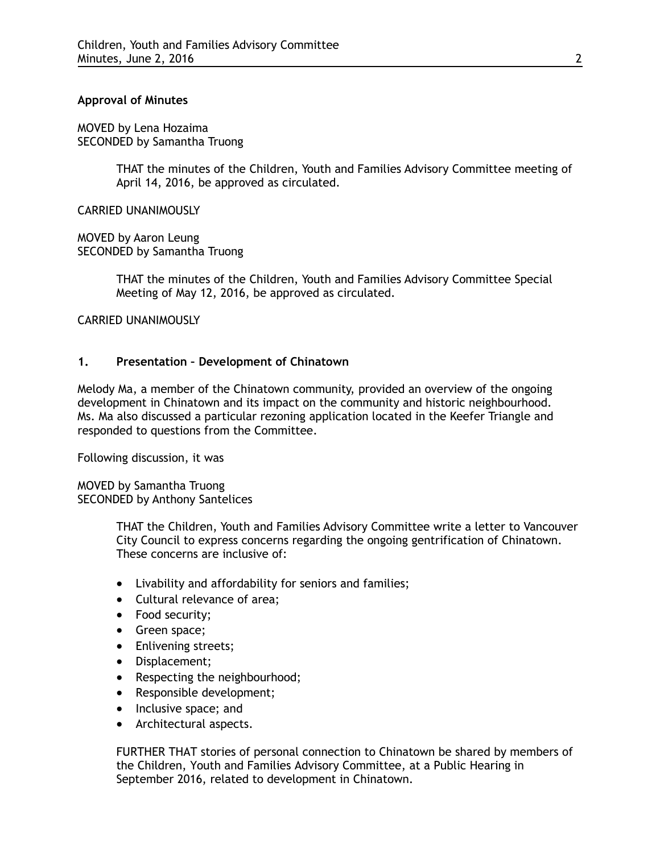#### **Approval of Minutes**

MOVED by Lena Hozaima SECONDED by Samantha Truong

> THAT the minutes of the Children, Youth and Families Advisory Committee meeting of April 14, 2016, be approved as circulated.

CARRIED UNANIMOUSLY

MOVED by Aaron Leung SECONDED by Samantha Truong

> THAT the minutes of the Children, Youth and Families Advisory Committee Special Meeting of May 12, 2016, be approved as circulated.

CARRIED UNANIMOUSLY

#### **1. Presentation – Development of Chinatown**

Melody Ma, a member of the Chinatown community, provided an overview of the ongoing development in Chinatown and its impact on the community and historic neighbourhood. Ms. Ma also discussed a particular rezoning application located in the Keefer Triangle and responded to questions from the Committee.

Following discussion, it was

MOVED by Samantha Truong SECONDED by Anthony Santelices

> THAT the Children, Youth and Families Advisory Committee write a letter to Vancouver City Council to express concerns regarding the ongoing gentrification of Chinatown. These concerns are inclusive of:

- Livability and affordability for seniors and families;
- Cultural relevance of area;
- Food security;
- Green space;
- Enlivening streets;
- Displacement;
- Respecting the neighbourhood;
- Responsible development;
- Inclusive space; and
- Architectural aspects.

FURTHER THAT stories of personal connection to Chinatown be shared by members of the Children, Youth and Families Advisory Committee, at a Public Hearing in September 2016, related to development in Chinatown.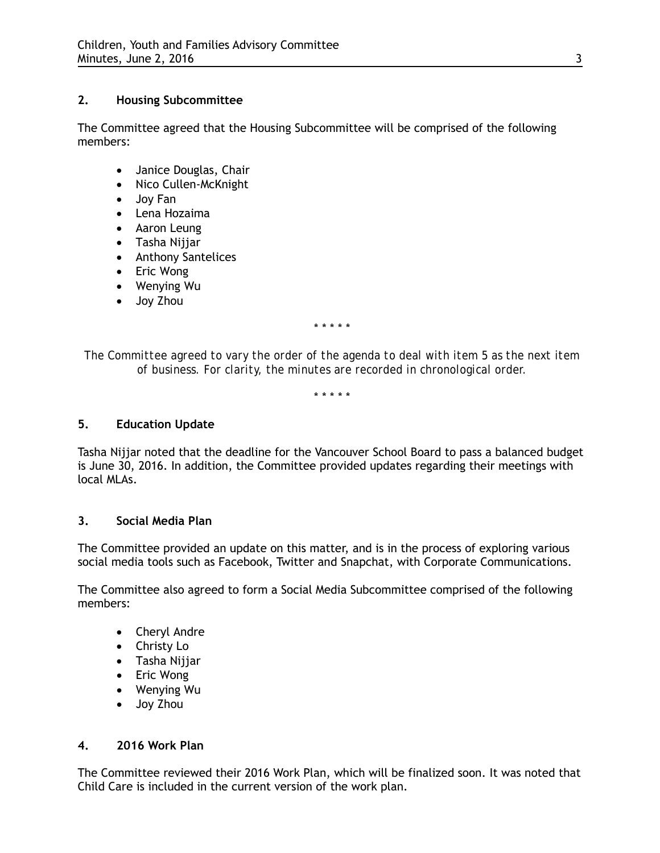# **2. Housing Subcommittee**

The Committee agreed that the Housing Subcommittee will be comprised of the following members:

- Janice Douglas, Chair
- Nico Cullen-McKnight
- Joy Fan
- Lena Hozaima
- Aaron Leung
- Tasha Nijjar
- Anthony Santelices
- Eric Wong
- Wenying Wu
- Joy Zhou

\* \* \* \* \*

*The Committee agreed to vary the order of the agenda to deal with item 5 as the next item of business. For clarity, the minutes are recorded in chronological order.*

\* \* \* \* \*

## **5. Education Update**

Tasha Nijjar noted that the deadline for the Vancouver School Board to pass a balanced budget is June 30, 2016. In addition, the Committee provided updates regarding their meetings with local MLAs.

## **3. Social Media Plan**

The Committee provided an update on this matter, and is in the process of exploring various social media tools such as Facebook, Twitter and Snapchat, with Corporate Communications.

The Committee also agreed to form a Social Media Subcommittee comprised of the following members:

- Cheryl Andre
- Christy Lo
- Tasha Nijjar
- Eric Wong
- Wenying Wu
- Joy Zhou

## **4. 2016 Work Plan**

The Committee reviewed their 2016 Work Plan, which will be finalized soon. It was noted that Child Care is included in the current version of the work plan.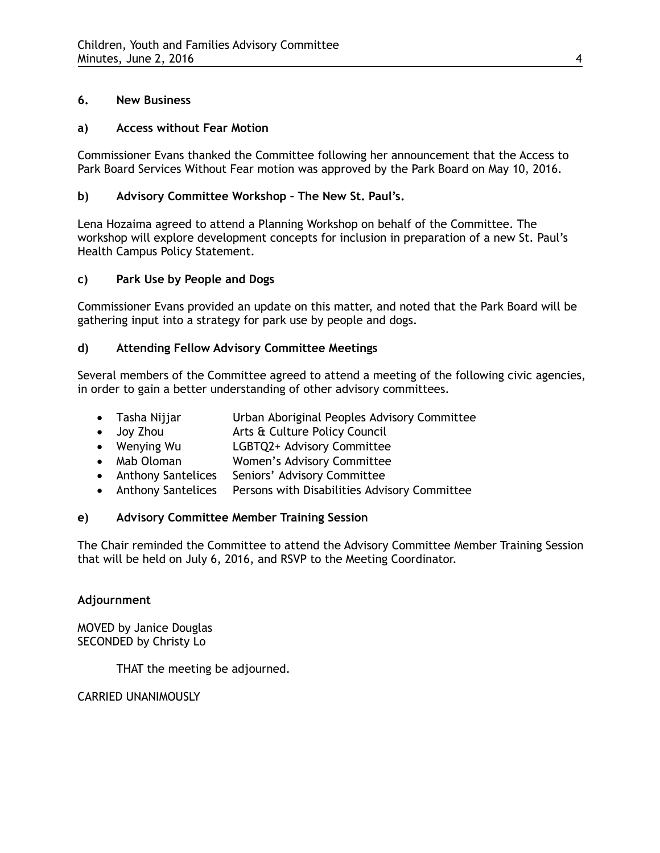# **6. New Business**

# **a) Access without Fear Motion**

Commissioner Evans thanked the Committee following her announcement that the Access to Park Board Services Without Fear motion was approved by the Park Board on May 10, 2016.

# **b) Advisory Committee Workshop – The New St. Paul's.**

Lena Hozaima agreed to attend a Planning Workshop on behalf of the Committee. The workshop will explore development concepts for inclusion in preparation of a new St. Paul's Health Campus Policy Statement.

# **c) Park Use by People and Dogs**

Commissioner Evans provided an update on this matter, and noted that the Park Board will be gathering input into a strategy for park use by people and dogs.

## **d) Attending Fellow Advisory Committee Meetings**

Several members of the Committee agreed to attend a meeting of the following civic agencies, in order to gain a better understanding of other advisory committees.

- Tasha Nijjar Urban Aboriginal Peoples Advisory Committee
- Joy Zhou Arts & Culture Policy Council
- Wenying Wu LGBTQ2+ Advisory Committee<br>• Mab Oloman Women's Advisory Committee
- Women's Advisory Committee
- Anthony Santelices Seniors' Advisory Committee
- Anthony Santelices Persons with Disabilities Advisory Committee

# **e) Advisory Committee Member Training Session**

The Chair reminded the Committee to attend the Advisory Committee Member Training Session that will be held on July 6, 2016, and RSVP to the Meeting Coordinator.

## **Adjournment**

MOVED by Janice Douglas SECONDED by Christy Lo

THAT the meeting be adjourned.

CARRIED UNANIMOUSLY